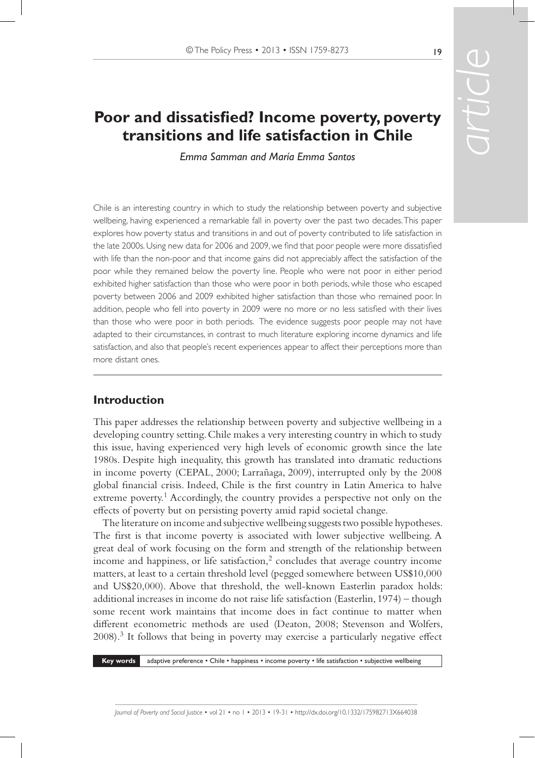# **Poor and dissatisfied? Income poverty, poverty transitions and life satisfaction in Chile**

*Emma Samman and María Emma Santos*

Chile is an interesting country in which to study the relationship between poverty and subjective wellbeing, having experienced a remarkable fall in poverty over the past two decades. This paper explores how poverty status and transitions in and out of poverty contributed to life satisfaction in the late 2000s. Using new data for 2006 and 2009, we find that poor people were more dissatisfied with life than the non-poor and that income gains did not appreciably affect the satisfaction of the poor while they remained below the poverty line. People who were not poor in either period exhibited higher satisfaction than those who were poor in both periods, while those who escaped poverty between 2006 and 2009 exhibited higher satisfaction than those who remained poor. In addition, people who fell into poverty in 2009 were no more or no less satisfied with their lives than those who were poor in both periods. The evidence suggests poor people may not have adapted to their circumstances, in contrast to much literature exploring income dynamics and life satisfaction, and also that people's recent experiences appear to affect their perceptions more than more distant ones.

## **Introduction**

This paper addresses the relationship between poverty and subjective wellbeing in a developing country setting. Chile makes a very interesting country in which to study this issue, having experienced very high levels of economic growth since the late 1980s. Despite high inequality, this growth has translated into dramatic reductions in income poverty (CEPAL, 2000; Larrañaga, 2009), interrupted only by the 2008 global financial crisis. Indeed, Chile is the first country in Latin America to halve extreme poverty.<sup>1</sup> Accordingly, the country provides a perspective not only on the effects of poverty but on persisting poverty amid rapid societal change.

The literature on income and subjective wellbeing suggests two possible hypotheses. The first is that income poverty is associated with lower subjective wellbeing. A great deal of work focusing on the form and strength of the relationship between income and happiness, or life satisfaction, $2$  concludes that average country income matters, at least to a certain threshold level (pegged somewhere between US\$10,000 and US\$20,000). Above that threshold, the well-known Easterlin paradox holds: additional increases in income do not raise life satisfaction (Easterlin, 1974) – though some recent work maintains that income does in fact continue to matter when different econometric methods are used (Deaton, 2008; Stevenson and Wolfers, 2008).3 It follows that being in poverty may exercise a particularly negative effect

**Key words** adaptive preference • Chile • happiness • income poverty • life satisfaction • subjective wellbeing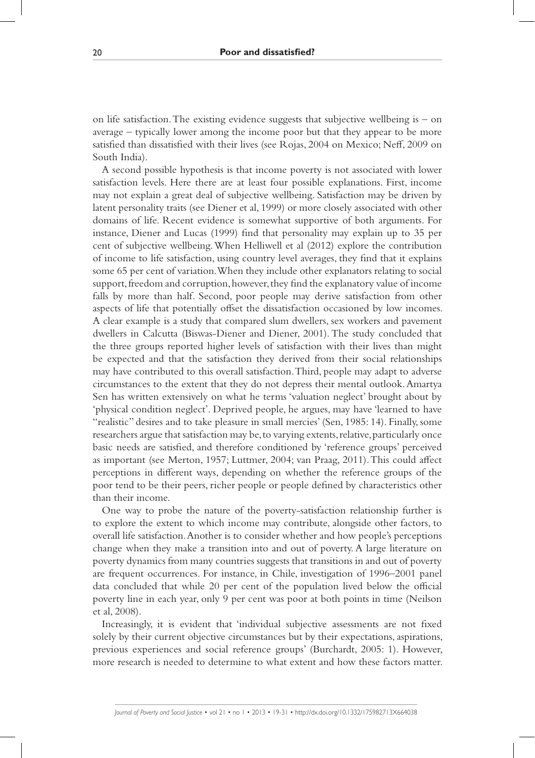on life satisfaction. The existing evidence suggests that subjective wellbeing is – on average – typically lower among the income poor but that they appear to be more satisfied than dissatisfied with their lives (see Rojas, 2004 on Mexico; Neff, 2009 on South India).

A second possible hypothesis is that income poverty is not associated with lower satisfaction levels. Here there are at least four possible explanations. First, income may not explain a great deal of subjective wellbeing. Satisfaction may be driven by latent personality traits (see Diener et al, 1999) or more closely associated with other domains of life. Recent evidence is somewhat supportive of both arguments. For instance, Diener and Lucas (1999) find that personality may explain up to 35 per cent of subjective wellbeing. When Helliwell et al (2012) explore the contribution of income to life satisfaction, using country level averages, they find that it explains some 65 per cent of variation. When they include other explanators relating to social support, freedom and corruption, however, they find the explanatory value of income falls by more than half. Second, poor people may derive satisfaction from other aspects of life that potentially offset the dissatisfaction occasioned by low incomes. A clear example is a study that compared slum dwellers, sex workers and pavement dwellers in Calcutta (Biswas-Diener and Diener, 2001). The study concluded that the three groups reported higher levels of satisfaction with their lives than might be expected and that the satisfaction they derived from their social relationships may have contributed to this overall satisfaction. Third, people may adapt to adverse circumstances to the extent that they do not depress their mental outlook. Amartya Sen has written extensively on what he terms 'valuation neglect' brought about by 'physical condition neglect'. Deprived people, he argues, may have 'learned to have "realistic" desires and to take pleasure in small mercies' (Sen, 1985: 14). Finally, some researchers argue that satisfaction may be, to varying extents, relative, particularly once basic needs are satisfied, and therefore conditioned by 'reference groups' perceived as important (see Merton, 1957; Luttmer, 2004; van Praag, 2011). This could affect perceptions in different ways, depending on whether the reference groups of the poor tend to be their peers, richer people or people defined by characteristics other than their income.

One way to probe the nature of the poverty-satisfaction relationship further is to explore the extent to which income may contribute, alongside other factors, to overall life satisfaction. Another is to consider whether and how people's perceptions change when they make a transition into and out of poverty. A large literature on poverty dynamics from many countries suggests that transitions in and out of poverty are frequent occurrences. For instance, in Chile, investigation of 1996–2001 panel data concluded that while 20 per cent of the population lived below the official poverty line in each year, only 9 per cent was poor at both points in time (Neilson et al, 2008).

Increasingly, it is evident that 'individual subjective assessments are not fixed solely by their current objective circumstances but by their expectations, aspirations, previous experiences and social reference groups' (Burchardt, 2005: 1). However, more research is needed to determine to what extent and how these factors matter.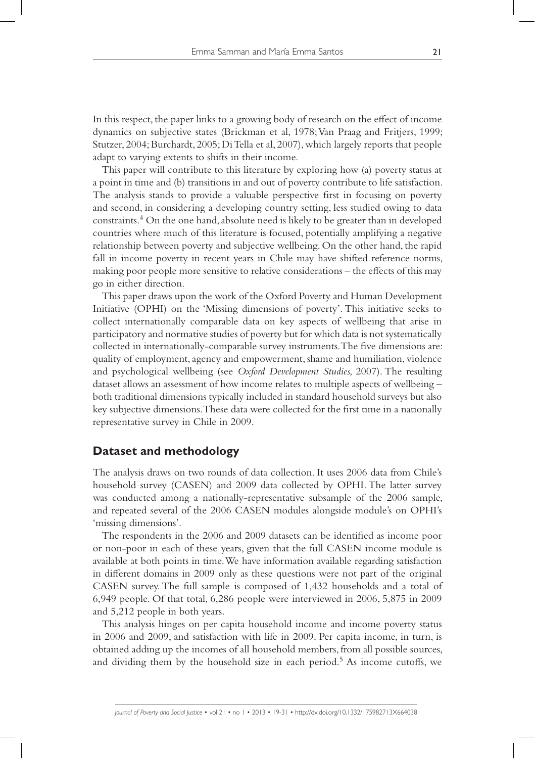In this respect, the paper links to a growing body of research on the effect of income dynamics on subjective states (Brickman et al, 1978; Van Praag and Fritjers, 1999; Stutzer, 2004; Burchardt, 2005; Di Tella et al, 2007), which largely reports that people adapt to varying extents to shifts in their income.

This paper will contribute to this literature by exploring how (a) poverty status at a point in time and (b) transitions in and out of poverty contribute to life satisfaction. The analysis stands to provide a valuable perspective first in focusing on poverty and second, in considering a developing country setting, less studied owing to data constraints.4 On the one hand, absolute need is likely to be greater than in developed countries where much of this literature is focused, potentially amplifying a negative relationship between poverty and subjective wellbeing. On the other hand, the rapid fall in income poverty in recent years in Chile may have shifted reference norms, making poor people more sensitive to relative considerations – the effects of this may go in either direction.

This paper draws upon the work of the Oxford Poverty and Human Development Initiative (OPHI) on the 'Missing dimensions of poverty'. This initiative seeks to collect internationally comparable data on key aspects of wellbeing that arise in participatory and normative studies of poverty but for which data is not systematically collected in internationally-comparable survey instruments. The five dimensions are: quality of employment, agency and empowerment, shame and humiliation, violence and psychological wellbeing (see *Oxford Development Studies,* 2007). The resulting dataset allows an assessment of how income relates to multiple aspects of wellbeing – both traditional dimensions typically included in standard household surveys but also key subjective dimensions. These data were collected for the first time in a nationally representative survey in Chile in 2009.

## **Dataset and methodology**

The analysis draws on two rounds of data collection. It uses 2006 data from Chile's household survey (CASEN) and 2009 data collected by OPHI. The latter survey was conducted among a nationally-representative subsample of the 2006 sample, and repeated several of the 2006 CASEN modules alongside module's on OPHI's 'missing dimensions'.

The respondents in the 2006 and 2009 datasets can be identified as income poor or non-poor in each of these years, given that the full CASEN income module is available at both points in time. We have information available regarding satisfaction in different domains in 2009 only as these questions were not part of the original CASEN survey. The full sample is composed of 1,432 households and a total of 6,949 people. Of that total, 6,286 people were interviewed in 2006, 5,875 in 2009 and 5,212 people in both years.

This analysis hinges on per capita household income and income poverty status in 2006 and 2009, and satisfaction with life in 2009. Per capita income, in turn, is obtained adding up the incomes of all household members, from all possible sources, and dividing them by the household size in each period.<sup>5</sup> As income cutoffs, we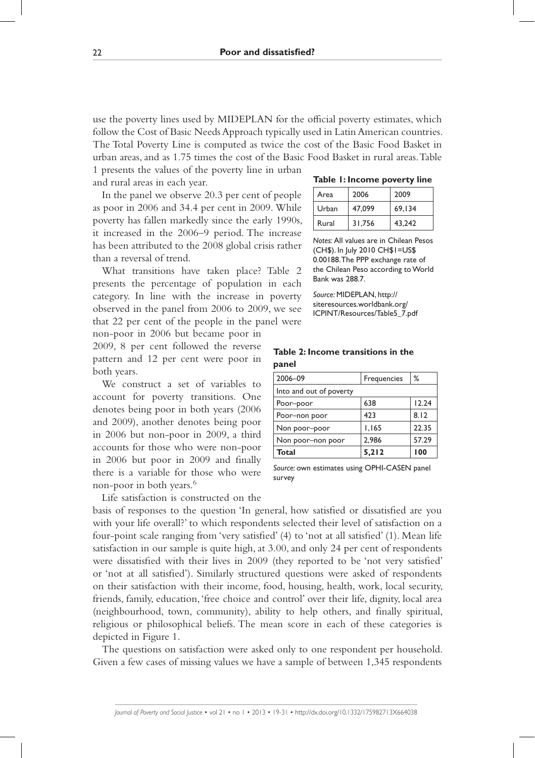use the poverty lines used by MIDEPLAN for the official poverty estimates, which follow the Cost of Basic Needs Approach typically used in Latin American countries. The Total Poverty Line is computed as twice the cost of the Basic Food Basket in urban areas, and as 1.75 times the cost of the Basic Food Basket in rural areas. Table 1 presents the values of the poverty line in urban

and rural areas in each year.

In the panel we observe 20.3 per cent of people as poor in 2006 and 34.4 per cent in 2009. While poverty has fallen markedly since the early 1990s, it increased in the 2006–9 period. The increase has been attributed to the 2008 global crisis rather than a reversal of trend.

What transitions have taken place? Table 2 presents the percentage of population in each category. In line with the increase in poverty observed in the panel from 2006 to 2009, we see that 22 per cent of the people in the panel were

non-poor in 2006 but became poor in 2009, 8 per cent followed the reverse pattern and 12 per cent were poor in both years.

We construct a set of variables to account for poverty transitions. One denotes being poor in both years (2006 and 2009), another denotes being poor in 2006 but non-poor in 2009, a third accounts for those who were non-poor in 2006 but poor in 2009 and finally there is a variable for those who were non-poor in both years.6

Life satisfaction is constructed on the

**Table 1: Income poverty line**

| Area  | 2006   | 2009   |  |  |
|-------|--------|--------|--|--|
| Urban | 47,099 | 69,134 |  |  |
| Rural | 31.756 | 43.242 |  |  |

*Notes:* All values are in Chilean Pesos (CH\$). In July 2010 CH\$1=US\$ 0.00188. The PPP exchange rate of the Chilean Peso according to World Bank was 288.7.

*Source:* MIDEPLAN, http:// siteresources.worldbank.org/ ICPINT/Resources/Table5\_7.pdf

**Table 2: Income transitions in the panel**

| 2006-09                 | Frequencies | %     |  |  |
|-------------------------|-------------|-------|--|--|
| Into and out of poverty |             |       |  |  |
| Poor-poor               | 638         | 12.24 |  |  |
| Poor-non poor           | 423         | 8.12  |  |  |
| Non poor-poor           | 1,165       | 22.35 |  |  |
| Non poor-non poor       | 2.986       | 57.29 |  |  |
| <b>Total</b>            | 5,212       | 100   |  |  |

*Source:* own estimates using OPHI-CASEN panel survey

basis of responses to the question 'In general, how satisfied or dissatisfied are you with your life overall?' to which respondents selected their level of satisfaction on a four-point scale ranging from 'very satisfied' (4) to 'not at all satisfied' (1). Mean life satisfaction in our sample is quite high, at 3.00, and only 24 per cent of respondents were dissatisfied with their lives in 2009 (they reported to be 'not very satisfied' or 'not at all satisfied'). Similarly structured questions were asked of respondents on their satisfaction with their income, food, housing, health, work, local security, friends, family, education, 'free choice and control' over their life, dignity, local area (neighbourhood, town, community), ability to help others, and finally spiritual, religious or philosophical beliefs. The mean score in each of these categories is depicted in Figure 1.

The questions on satisfaction were asked only to one respondent per household. Given a few cases of missing values we have a sample of between 1,345 respondents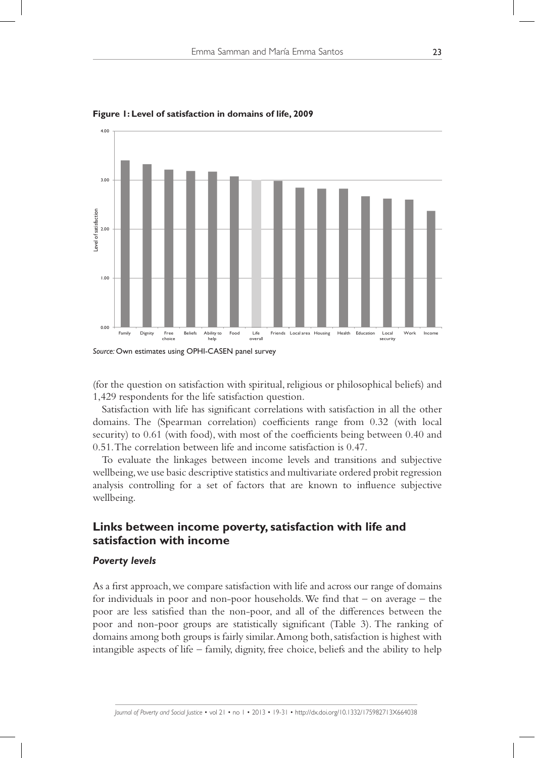

**Figure 1: Level of satisfaction in domains of life, 2009**



(for the question on satisfaction with spiritual, religious or philosophical beliefs) and 1,429 respondents for the life satisfaction question.

Satisfaction with life has significant correlations with satisfaction in all the other domains. The (Spearman correlation) coefficients range from 0.32 (with local security) to 0.61 (with food), with most of the coefficients being between 0.40 and 0.51. The correlation between life and income satisfaction is 0.47.

To evaluate the linkages between income levels and transitions and subjective wellbeing, we use basic descriptive statistics and multivariate ordered probit regression analysis controlling for a set of factors that are known to influence subjective wellbeing.

## **Links between income poverty, satisfaction with life and satisfaction with income**

#### *Poverty levels*

As a first approach, we compare satisfaction with life and across our range of domains for individuals in poor and non-poor households. We find that – on average – the poor are less satisfied than the non-poor, and all of the differences between the poor and non-poor groups are statistically significant (Table 3). The ranking of domains among both groups is fairly similar. Among both, satisfaction is highest with intangible aspects of life – family, dignity, free choice, beliefs and the ability to help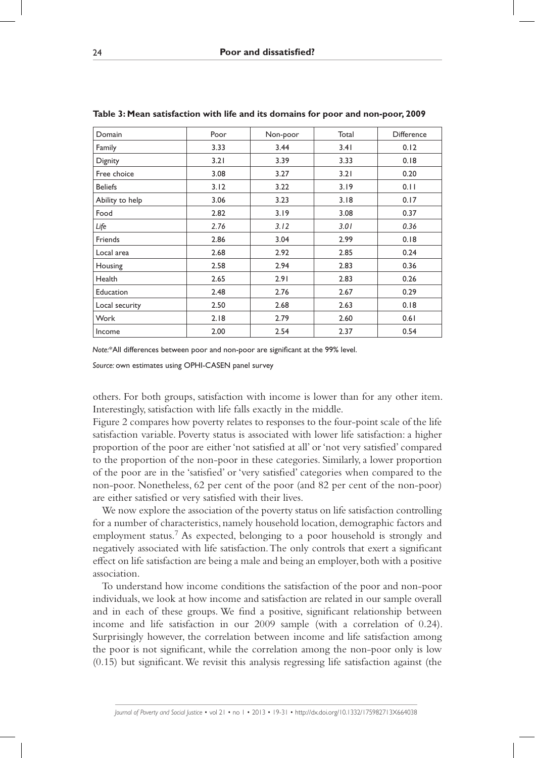| Domain          | Poor | Non-poor | Total | Difference |
|-----------------|------|----------|-------|------------|
| Family          | 3.33 | 3.44     | 3.41  | 0.12       |
| Dignity         | 3.21 | 3.39     | 3.33  | 0.18       |
| Free choice     | 3.08 | 3.27     | 3.21  | 0.20       |
| <b>Beliefs</b>  | 3.12 | 3.22     | 3.19  | 0.11       |
| Ability to help | 3.06 | 3.23     | 3.18  | 0.17       |
| Food            | 2.82 | 3.19     | 3.08  | 0.37       |
| Life            | 2.76 | 3.12     | 3.01  | 0.36       |
| Friends         | 2.86 | 3.04     | 2.99  | 0.18       |
| Local area      | 2.68 | 2.92     | 2.85  | 0.24       |
| Housing         | 2.58 | 2.94     | 2.83  | 0.36       |
| Health          | 2.65 | 2.91     | 2.83  | 0.26       |
| Education       | 2.48 | 2.76     | 2.67  | 0.29       |
| Local security  | 2.50 | 2.68     | 2.63  | 0.18       |
| Work            | 2.18 | 2.79     | 2.60  | 0.61       |
| Income          | 2.00 | 2.54     | 2.37  | 0.54       |

**Table 3: Mean satisfaction with life and its domains for poor and non-poor, 2009**

*Note:*\*All differences between poor and non-poor are significant at the 99% level.

*Source:* own estimates using OPHI-CASEN panel survey

others. For both groups, satisfaction with income is lower than for any other item. Interestingly, satisfaction with life falls exactly in the middle.

Figure 2 compares how poverty relates to responses to the four-point scale of the life satisfaction variable. Poverty status is associated with lower life satisfaction: a higher proportion of the poor are either 'not satisfied at all' or 'not very satisfied' compared to the proportion of the non-poor in these categories. Similarly, a lower proportion of the poor are in the 'satisfied' or 'very satisfied' categories when compared to the non-poor. Nonetheless, 62 per cent of the poor (and 82 per cent of the non-poor) are either satisfied or very satisfied with their lives.

We now explore the association of the poverty status on life satisfaction controlling for a number of characteristics, namely household location, demographic factors and employment status.<sup>7</sup> As expected, belonging to a poor household is strongly and negatively associated with life satisfaction. The only controls that exert a significant effect on life satisfaction are being a male and being an employer, both with a positive association.

To understand how income conditions the satisfaction of the poor and non-poor individuals, we look at how income and satisfaction are related in our sample overall and in each of these groups. We find a positive, significant relationship between income and life satisfaction in our 2009 sample (with a correlation of 0.24). Surprisingly however, the correlation between income and life satisfaction among the poor is not significant, while the correlation among the non-poor only is low (0.15) but significant. We revisit this analysis regressing life satisfaction against (the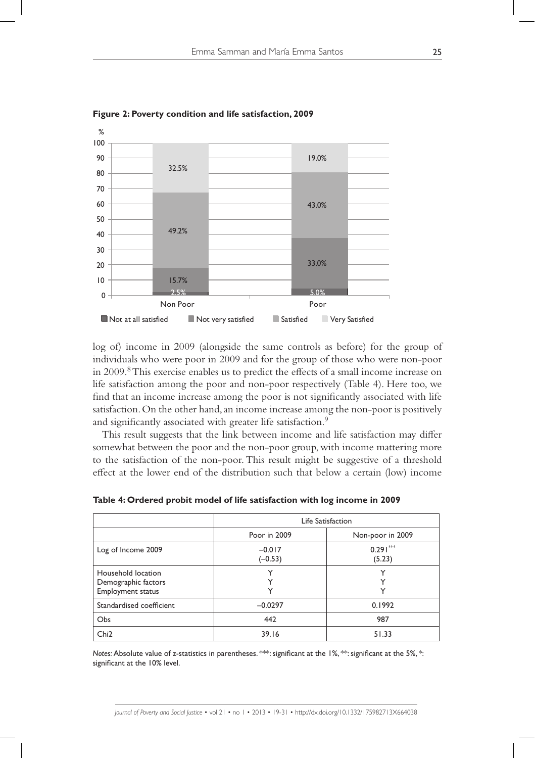

**Figure 2: Poverty condition and life satisfaction, 2009**

log of) income in 2009 (alongside the same controls as before) for the group of individuals who were poor in 2009 and for the group of those who were non-poor in 2009.8 This exercise enables us to predict the effects of a small income increase on life satisfaction among the poor and non-poor respectively (Table 4). Here too, we find that an income increase among the poor is not significantly associated with life satisfaction. On the other hand, an income increase among the non-poor is positively and significantly associated with greater life satisfaction.<sup>9</sup>

This result suggests that the link between income and life satisfaction may differ somewhat between the poor and the non-poor group, with income mattering more to the satisfaction of the non-poor. This result might be suggestive of a threshold effect at the lower end of the distribution such that below a certain (low) income

|                                                                | Life Satisfaction     |                      |  |
|----------------------------------------------------------------|-----------------------|----------------------|--|
|                                                                | Poor in 2009          | Non-poor in 2009     |  |
| Log of Income 2009                                             | $-0.017$<br>$(-0.53)$ | $0.291***$<br>(5.23) |  |
| Household location<br>Demographic factors<br>Employment status | ∨                     |                      |  |
| Standardised coefficient                                       | $-0.0297$             | 0.1992               |  |
| Obs                                                            | 442                   | 987                  |  |
| Chi <sub>2</sub>                                               | 39.16                 | 51.33                |  |

**Table 4: Ordered probit model of life satisfaction with log income in 2009**

*Notes: Absolute value of z-statistics in parentheses.* \*\*\*: significant at the 1%, \*\*: significant at the 5%, \*: significant at the 10% level.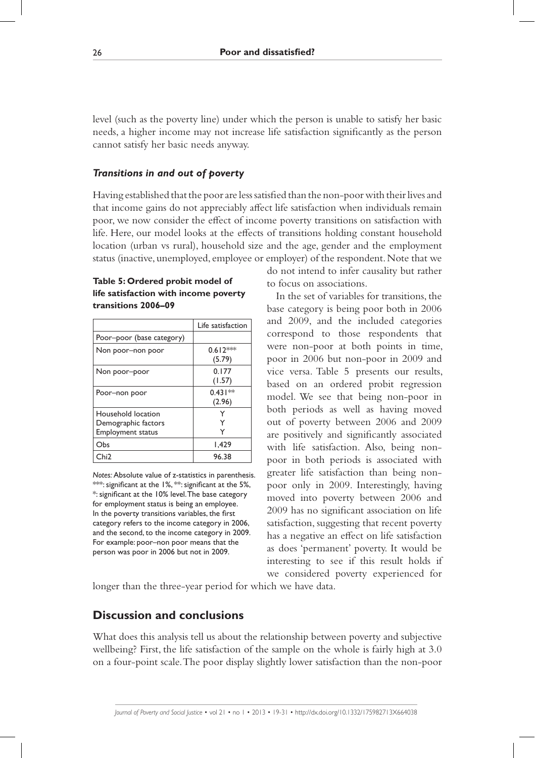level (such as the poverty line) under which the person is unable to satisfy her basic needs, a higher income may not increase life satisfaction significantly as the person cannot satisfy her basic needs anyway.

### *Transitions in and out of poverty*

Having established that the poor are less satisfied than the non-poor with their lives and that income gains do not appreciably affect life satisfaction when individuals remain poor, we now consider the effect of income poverty transitions on satisfaction with life. Here, our model looks at the effects of transitions holding constant household location (urban vs rural), household size and the age, gender and the employment status (inactive, unemployed, employee or employer) of the respondent. Note that we

#### **Table 5: Ordered probit model of life satisfaction with income poverty transitions 2006–09**

|                           | Life satisfaction |
|---------------------------|-------------------|
|                           |                   |
| Poor-poor (base category) |                   |
| Non poor-non poor         | $0.612***$        |
|                           | (5.79)            |
| Non poor-poor             | 0.177             |
|                           | (1.57)            |
| Poor-non poor             | $0.431**$         |
|                           | (2.96)            |
| Household location        |                   |
| Demographic factors       |                   |
| <b>Employment status</b>  |                   |
| Obs                       | 1.429             |
| Chi <sub>2</sub>          | 96.38             |

*Notes:* Absolute value of z-statistics in parenthesis. \*\*\*: significant at the 1%, \*\*: significant at the 5%, \*: significant at the 10% level. The base category for employment status is being an employee. In the poverty transitions variables, the first category refers to the income category in 2006, and the second, to the income category in 2009. For example: poor–non poor means that the person was poor in 2006 but not in 2009.

do not intend to infer causality but rather to focus on associations.

In the set of variables for transitions, the base category is being poor both in 2006 and 2009, and the included categories correspond to those respondents that were non-poor at both points in time, poor in 2006 but non-poor in 2009 and vice versa. Table 5 presents our results, based on an ordered probit regression model. We see that being non-poor in both periods as well as having moved out of poverty between 2006 and 2009 are positively and significantly associated with life satisfaction. Also, being nonpoor in both periods is associated with greater life satisfaction than being nonpoor only in 2009. Interestingly, having moved into poverty between 2006 and 2009 has no significant association on life satisfaction, suggesting that recent poverty has a negative an effect on life satisfaction as does 'permanent' poverty. It would be interesting to see if this result holds if we considered poverty experienced for

longer than the three-year period for which we have data.

## **Discussion and conclusions**

What does this analysis tell us about the relationship between poverty and subjective wellbeing? First, the life satisfaction of the sample on the whole is fairly high at 3.0 on a four-point scale. The poor display slightly lower satisfaction than the non-poor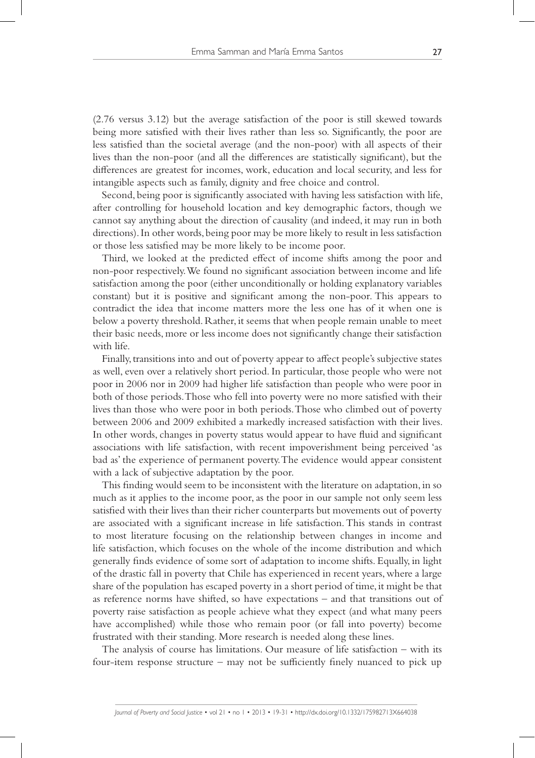(2.76 versus 3.12) but the average satisfaction of the poor is still skewed towards being more satisfied with their lives rather than less so. Significantly, the poor are less satisfied than the societal average (and the non-poor) with all aspects of their lives than the non-poor (and all the differences are statistically significant), but the differences are greatest for incomes, work, education and local security, and less for intangible aspects such as family, dignity and free choice and control.

Second, being poor is significantly associated with having less satisfaction with life, after controlling for household location and key demographic factors, though we cannot say anything about the direction of causality (and indeed, it may run in both directions). In other words, being poor may be more likely to result in less satisfaction or those less satisfied may be more likely to be income poor.

Third, we looked at the predicted effect of income shifts among the poor and non-poor respectively. We found no significant association between income and life satisfaction among the poor (either unconditionally or holding explanatory variables constant) but it is positive and significant among the non-poor. This appears to contradict the idea that income matters more the less one has of it when one is below a poverty threshold. Rather, it seems that when people remain unable to meet their basic needs, more or less income does not significantly change their satisfaction with life.

Finally, transitions into and out of poverty appear to affect people's subjective states as well, even over a relatively short period. In particular, those people who were not poor in 2006 nor in 2009 had higher life satisfaction than people who were poor in both of those periods. Those who fell into poverty were no more satisfied with their lives than those who were poor in both periods. Those who climbed out of poverty between 2006 and 2009 exhibited a markedly increased satisfaction with their lives. In other words, changes in poverty status would appear to have fluid and significant associations with life satisfaction, with recent impoverishment being perceived 'as bad as' the experience of permanent poverty. The evidence would appear consistent with a lack of subjective adaptation by the poor.

This finding would seem to be inconsistent with the literature on adaptation, in so much as it applies to the income poor, as the poor in our sample not only seem less satisfied with their lives than their richer counterparts but movements out of poverty are associated with a significant increase in life satisfaction. This stands in contrast to most literature focusing on the relationship between changes in income and life satisfaction, which focuses on the whole of the income distribution and which generally finds evidence of some sort of adaptation to income shifts. Equally, in light of the drastic fall in poverty that Chile has experienced in recent years, where a large share of the population has escaped poverty in a short period of time, it might be that as reference norms have shifted, so have expectations – and that transitions out of poverty raise satisfaction as people achieve what they expect (and what many peers have accomplished) while those who remain poor (or fall into poverty) become frustrated with their standing. More research is needed along these lines.

The analysis of course has limitations. Our measure of life satisfaction – with its four-item response structure – may not be sufficiently finely nuanced to pick up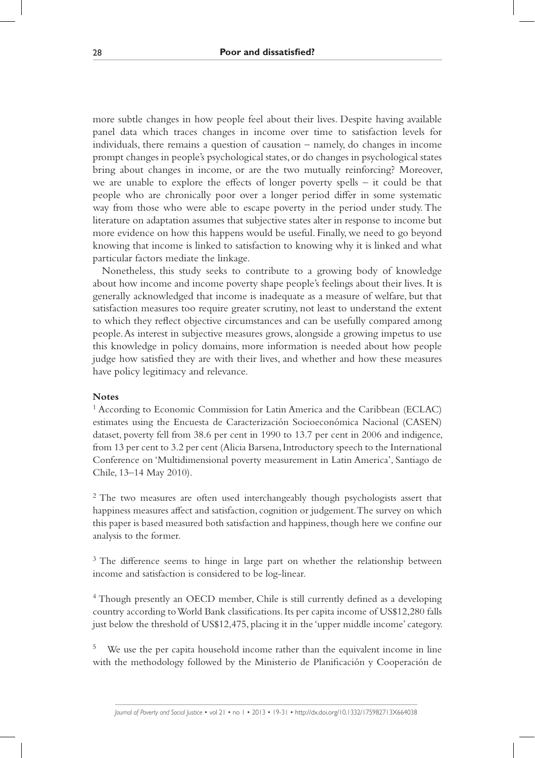more subtle changes in how people feel about their lives. Despite having available panel data which traces changes in income over time to satisfaction levels for individuals, there remains a question of causation – namely, do changes in income prompt changes in people's psychological states, or do changes in psychological states bring about changes in income, or are the two mutually reinforcing? Moreover, we are unable to explore the effects of longer poverty spells – it could be that people who are chronically poor over a longer period differ in some systematic way from those who were able to escape poverty in the period under study. The literature on adaptation assumes that subjective states alter in response to income but more evidence on how this happens would be useful. Finally, we need to go beyond knowing that income is linked to satisfaction to knowing why it is linked and what particular factors mediate the linkage.

Nonetheless, this study seeks to contribute to a growing body of knowledge about how income and income poverty shape people's feelings about their lives. It is generally acknowledged that income is inadequate as a measure of welfare, but that satisfaction measures too require greater scrutiny, not least to understand the extent to which they reflect objective circumstances and can be usefully compared among people. As interest in subjective measures grows, alongside a growing impetus to use this knowledge in policy domains, more information is needed about how people judge how satisfied they are with their lives, and whether and how these measures have policy legitimacy and relevance.

#### **Notes**

<sup>1</sup> According to Economic Commission for Latin America and the Caribbean (ECLAC) estimates using the Encuesta de Caracterización Socioeconómica Nacional (CASEN) dataset, poverty fell from 38.6 per cent in 1990 to 13.7 per cent in 2006 and indigence, from 13 per cent to 3.2 per cent (Alicia Barsena, Introductory speech to the International Conference on 'Multidimensional poverty measurement in Latin America', Santiago de Chile, 13–14 May 2010).

<sup>2</sup> The two measures are often used interchangeably though psychologists assert that happiness measures affect and satisfaction, cognition or judgement. The survey on which this paper is based measured both satisfaction and happiness, though here we confine our analysis to the former.

<sup>3</sup> The difference seems to hinge in large part on whether the relationship between income and satisfaction is considered to be log-linear.

4 Though presently an OECD member, Chile is still currently defined as a developing country according to World Bank classifications. Its per capita income of US\$12,280 falls just below the threshold of US\$12,475, placing it in the 'upper middle income' category.

We use the per capita household income rather than the equivalent income in line with the methodology followed by the Ministerio de Planificación y Cooperación de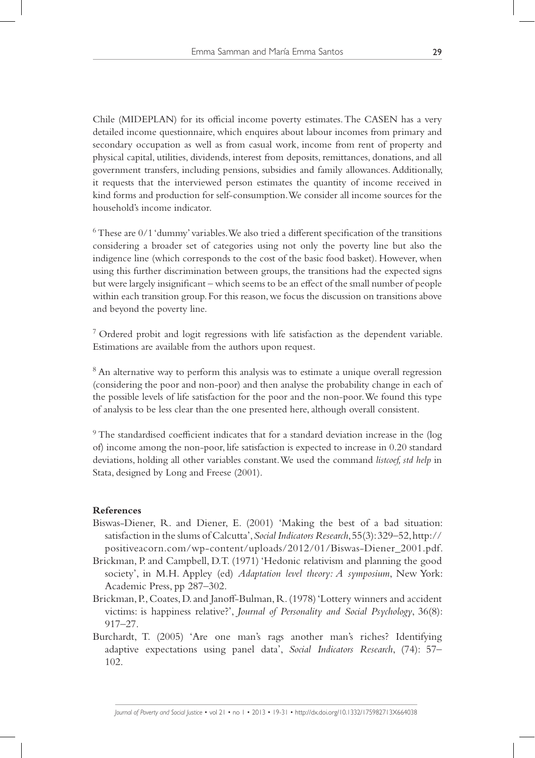Chile (MIDEPLAN) for its official income poverty estimates. The CASEN has a very detailed income questionnaire, which enquires about labour incomes from primary and secondary occupation as well as from casual work, income from rent of property and physical capital, utilities, dividends, interest from deposits, remittances, donations, and all government transfers, including pensions, subsidies and family allowances. Additionally, it requests that the interviewed person estimates the quantity of income received in kind forms and production for self-consumption. We consider all income sources for the household's income indicator.

 $6$  These are  $0/1$  'dummy' variables. We also tried a different specification of the transitions considering a broader set of categories using not only the poverty line but also the indigence line (which corresponds to the cost of the basic food basket). However, when using this further discrimination between groups, the transitions had the expected signs but were largely insignificant – which seems to be an effect of the small number of people within each transition group. For this reason, we focus the discussion on transitions above and beyond the poverty line.

7 Ordered probit and logit regressions with life satisfaction as the dependent variable. Estimations are available from the authors upon request.

<sup>8</sup> An alternative way to perform this analysis was to estimate a unique overall regression (considering the poor and non-poor) and then analyse the probability change in each of the possible levels of life satisfaction for the poor and the non-poor. We found this type of analysis to be less clear than the one presented here, although overall consistent.

<sup>9</sup> The standardised coefficient indicates that for a standard deviation increase in the (log of) income among the non-poor, life satisfaction is expected to increase in 0.20 standard deviations, holding all other variables constant. We used the command *listcoef, std help* in Stata, designed by Long and Freese (2001).

#### **References**

- Biswas-Diener, R. and Diener, E. (2001) 'Making the best of a bad situation: satisfaction in the slums of Calcutta', *Social Indicators Research*, 55(3): 329–52, http:// positiveacorn.com/wp-content/uploads/2012/01/Biswas-Diener\_2001.pdf.
- Brickman, P. and Campbell, D.T. (1971) 'Hedonic relativism and planning the good society', in M.H. Appley (ed) *Adaptation level theory: A symposium*, New York: Academic Press, pp 287–302.
- Brickman, P., Coates, D. and Janoff-Bulman, R. (1978) 'Lottery winners and accident victims: is happiness relative?', *Journal of Personality and Social Psychology*, 36(8): 917–27.
- Burchardt, T. (2005) 'Are one man's rags another man's riches? Identifying adaptive expectations using panel data', *Social Indicators Research*, (74): 57– 102.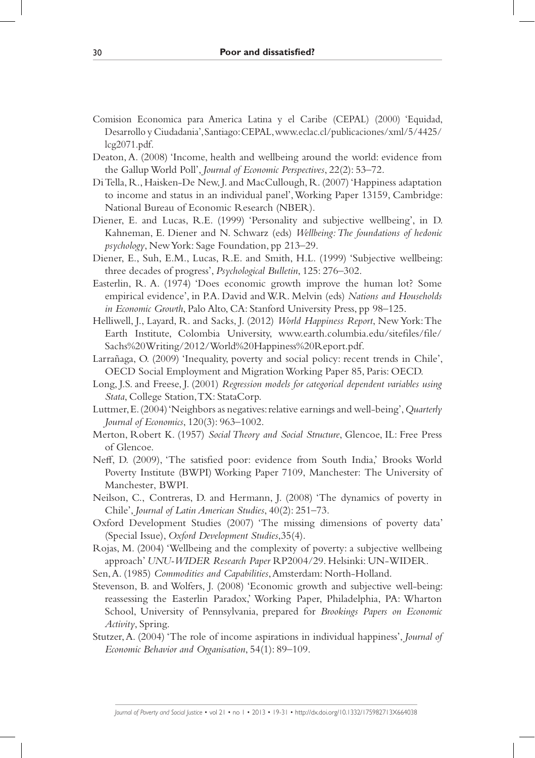- Comision Economica para America Latina y el Caribe (CEPAL) (2000) 'Equidad, Desarrollo y Ciudadania', Santiago: CEPAL, www.eclac.cl/publicaciones/xml/5/4425/ lcg2071.pdf.
- Deaton, A. (2008) 'Income, health and wellbeing around the world: evidence from the Gallup World Poll', *Journal of Economic Perspectives*, 22(2): 53–72.
- Di Tella, R., Haisken-De New, J. and MacCullough, R. (2007) 'Happiness adaptation to income and status in an individual panel', Working Paper 13159, Cambridge: National Bureau of Economic Research (NBER).
- Diener, E. and Lucas, R.E. (1999) 'Personality and subjective wellbeing', in D. Kahneman, E. Diener and N. Schwarz (eds) *Wellbeing: The foundations of hedonic psychology*, New York: Sage Foundation, pp 213–29.
- Diener, E., Suh, E.M., Lucas, R.E. and Smith, H.L. (1999) 'Subjective wellbeing: three decades of progress', *Psychological Bulletin*, 125: 276–302.
- Easterlin, R. A. (1974) 'Does economic growth improve the human lot? Some empirical evidence', in P.A. David and W.R. Melvin (eds) *Nations and Households in Economic Growth*, Palo Alto, CA: Stanford University Press, pp 98–125.
- Helliwell, J., Layard, R. and Sacks, J. (2012) *World Happiness Report*, New York: The Earth Institute, Colombia University, www.earth.columbia.edu/sitefiles/file/ Sachs%20Writing/2012/World%20Happiness%20Report.pdf.
- Larrañaga, O. (2009) 'Inequality, poverty and social policy: recent trends in Chile', OECD Social Employment and Migration Working Paper 85, Paris: OECD.
- Long, J.S. and Freese, J. (2001) *Regression models for categorical dependent variables using Stata*, College Station, TX: StataCorp.
- Luttmer, E. (2004) 'Neighbors as negatives: relative earnings and well-being', *Quarterly Journal of Economics*, 120(3): 963–1002.
- Merton, Robert K. (1957) *Social Theory and Social Structure*, Glencoe, IL: Free Press of Glencoe.
- Neff, D. (2009), 'The satisfied poor: evidence from South India,' Brooks World Poverty Institute (BWPI) Working Paper 7109, Manchester: The University of Manchester, BWPI.
- Neilson, C., Contreras, D. and Hermann, J. (2008) 'The dynamics of poverty in Chile', *Journal of Latin American Studies*, 40(2): 251–73.
- Oxford Development Studies (2007) 'The missing dimensions of poverty data' (Special Issue), *Oxford Development Studies*,35(4).
- Rojas, M. (2004) 'Wellbeing and the complexity of poverty: a subjective wellbeing approach' *UNU-WIDER Research Paper* RP2004/29. Helsinki: UN-WIDER.
- Sen, A. (1985) *Commodities and Capabilities*, Amsterdam: North-Holland.
- Stevenson, B. and Wolfers, J. (2008) 'Economic growth and subjective well-being: reassessing the Easterlin Paradox,' Working Paper, Philadelphia, PA: Wharton School, University of Pennsylvania, prepared for *Brookings Papers on Economic Activity*, Spring.
- Stutzer, A. (2004) 'The role of income aspirations in individual happiness', *Journal of Economic Behavior and Organisation*, 54(1): 89–109.